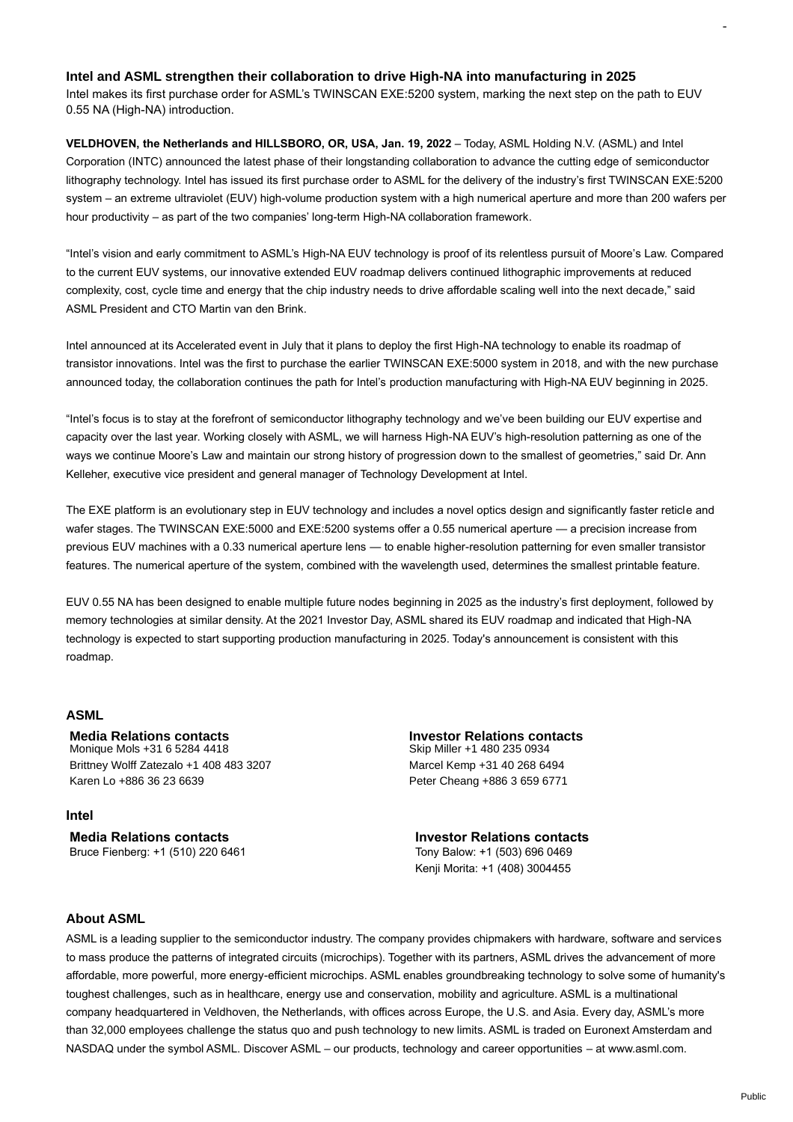## **Intel and ASML strengthen their collaboration to drive High-NA into manufacturing in 2025**

Intel makes its first purchase order for ASML's TWINSCAN EXE:5200 system, marking the next step on the path to EUV 0.55 NA (High-NA) introduction.

**VELDHOVEN, the Netherlands and HILLSBORO, OR, USA, Jan. 19, 2022** – Today, ASML Holding N.V. (ASML) and Intel Corporation (INTC) announced the latest phase of their longstanding collaboration to advance the cutting edge of semiconductor lithography technology. Intel has issued its first purchase order to ASML for the delivery of the industry's first TWINSCAN EXE:5200 system – an extreme ultraviolet (EUV) high-volume production system with a high numerical aperture and more than 200 wafers per hour productivity – as part of the two companies' long-term High-NA collaboration framework.

"Intel's vision and early commitment to ASML's High-NA EUV technology is proof of its relentless pursuit of Moore's Law. Compared to the current EUV systems, our innovative extended EUV roadmap delivers continued lithographic improvements at reduced complexity, cost, cycle time and energy that the chip industry needs to drive affordable scaling well into the next decade," said ASML President and CTO Martin van den Brink.

Intel announced at its Accelerated event in July that it plans to deploy the first High-NA technology to enable its roadmap of transistor innovations. Intel was the first to purchase the earlier TWINSCAN EXE:5000 system in 2018, and with the new purchase announced today, the collaboration continues the path for Intel's production manufacturing with High-NA EUV beginning in 2025.

"Intel's focus is to stay at the forefront of semiconductor lithography technology and we've been building our EUV expertise and capacity over the last year. Working closely with ASML, we will harness High-NA EUV's high-resolution patterning as one of the ways we continue Moore's Law and maintain our strong history of progression down to the smallest of geometries," said Dr. Ann Kelleher, executive vice president and general manager of Technology Development at Intel.

The EXE platform is an evolutionary step in EUV technology and includes a novel optics design and significantly faster reticle and wafer stages. The TWINSCAN EXE:5000 and EXE:5200 systems offer a 0.55 numerical aperture — a precision increase from previous EUV machines with a 0.33 numerical aperture lens — to enable higher-resolution patterning for even smaller transistor features. The numerical aperture of the system, combined with the wavelength used, determines the smallest printable feature.

EUV 0.55 NA has been designed to enable multiple future nodes beginning in 2025 as the industry's first deployment, followed by memory technologies at similar density. At the 2021 Investor Day, ASML shared its EUV roadmap and indicated that High-NA technology is expected to start supporting production manufacturing in 2025. Today's announcement is consistent with this roadmap.

#### **ASML**

**Media Relations contacts Investor Relations contacts** Monique Mols +31 6 5284 4418 Brittney Wolff Zatezalo +1 408 483 3207 Marcel Kemp +31 40 268 6494

**Intel**

Bruce Fienberg: +1 (510) 220 6461 Tony Balow: +1 (503) 696 0469

Karen Lo +886 36 23 6639 Peter Cheang +886 3 659 6771

**Media Relations contacts Investor Relations contacts** Kenji Morita: +1 (408) 3004455

#### **About ASML**

ASML is a leading supplier to the semiconductor industry. The company provides chipmakers with hardware, software and services to mass produce the patterns of integrated circuits (microchips). Together with its partners, ASML drives the advancement of more affordable, more powerful, more energy-efficient microchips. ASML enables groundbreaking technology to solve some of humanity's toughest challenges, such as in healthcare, energy use and conservation, mobility and agriculture. ASML is a multinational company headquartered in Veldhoven, the Netherlands, with offices across Europe, the U.S. and Asia. Every day, ASML's more than 32,000 employees challenge the status quo and push technology to new limits. ASML is traded on Euronext Amsterdam and NASDAQ under the symbol ASML. Discover ASML – our products, technology and career opportunities – at www.asml.com.

-